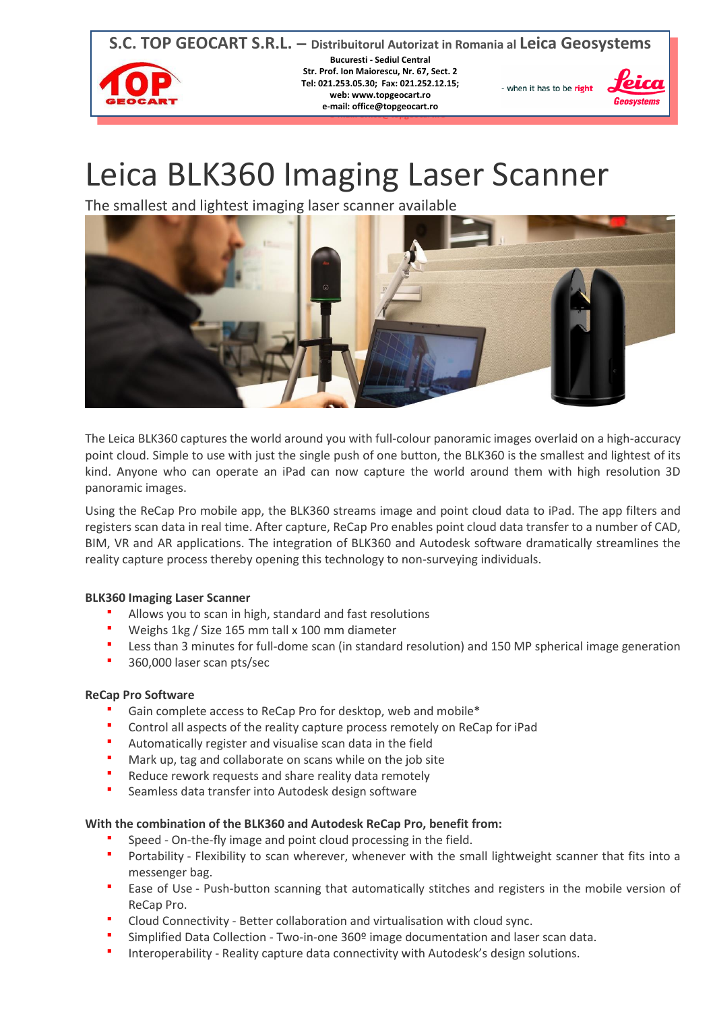

# Leica BLK360 Imaging Laser Scanner

The smallest and lightest imaging laser scanner available



The Leica BLK360 captures the world around you with full-colour panoramic images overlaid on a high-accuracy point cloud. Simple to use with just the single push of one button, the BLK360 is the smallest and lightest of its kind. Anyone who can operate an iPad can now capture the world around them with high resolution 3D panoramic images.

Using the ReCap Pro mobile app, the BLK360 streams image and point cloud data to iPad. The app filters and registers scan data in real time. After capture, ReCap Pro enables point cloud data transfer to a number of CAD, BIM, VR and AR applications. The integration of BLK360 and Autodesk software dramatically streamlines the reality capture process thereby opening this technology to non-surveying individuals.

# **BLK360 Imaging Laser Scanner**

- Allows you to scan in high, standard and fast resolutions
- Weighs 1kg / Size 165 mm tall x 100 mm diameter
- Less than 3 minutes for full-dome scan (in standard resolution) and 150 MP spherical image generation
- **360,000 laser scan pts/sec**

# **ReCap Pro Software**

- Gain complete access to ReCap Pro for desktop, web and mobile\*
- Control all aspects of the reality capture process remotely on ReCap for iPad
- Automatically register and visualise scan data in the field
- Mark up, tag and collaborate on scans while on the job site
- Reduce rework requests and share reality data remotely
- Seamless data transfer into Autodesk design software

# **With the combination of the BLK360 and Autodesk ReCap Pro, benefit from:**

- Speed On-the-fly image and point cloud processing in the field.
- **Portability Flexibility to scan wherever, whenever with the small lightweight scanner that fits into a** messenger bag.
- Ease of Use Push-button scanning that automatically stitches and registers in the mobile version of ReCap Pro.
- Cloud Connectivity Better collaboration and virtualisation with cloud sync.
- Simplified Data Collection Two-in-one 360º image documentation and laser scan data.
- Interoperability Reality capture data connectivity with Autodesk's design solutions.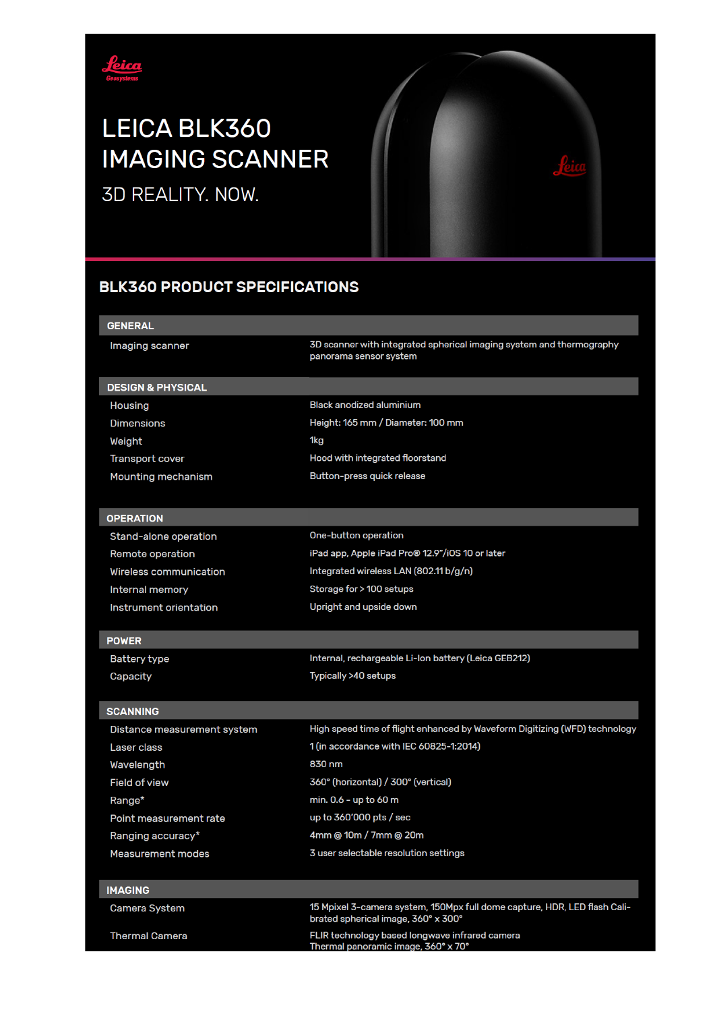

# LEICA BLK360 **IMAGING SCANNER**

3D REALITY. NOW.



# **BLK360 PRODUCT SPECIFICATIONS**

| <b>GENERAL</b>               |                                                                                                                  |  |
|------------------------------|------------------------------------------------------------------------------------------------------------------|--|
| Imaging scanner              | 3D scanner with integrated spherical imaging system and thermography<br>panorama sensor system                   |  |
| <b>DESIGN &amp; PHYSICAL</b> |                                                                                                                  |  |
| Housing                      | <b>Black anodized aluminium</b>                                                                                  |  |
| <b>Dimensions</b>            | Height: 165 mm / Diameter: 100 mm                                                                                |  |
| Weight                       | 1kg                                                                                                              |  |
| Transport cover              | Hood with integrated floorstand                                                                                  |  |
| Mounting mechanism           | Button-press quick release                                                                                       |  |
|                              |                                                                                                                  |  |
| <b>OPERATION</b>             |                                                                                                                  |  |
| Stand-alone operation        | One-button operation                                                                                             |  |
| Remote operation             | iPad app, Apple iPad Pro® 12.9"/iOS 10 or later                                                                  |  |
| Wireless communication       | Integrated wireless LAN (802.11 b/g/n)                                                                           |  |
| <b>Internal memory</b>       | Storage for > 100 setups                                                                                         |  |
| Instrument orientation       | Upright and upside down                                                                                          |  |
|                              |                                                                                                                  |  |
| <b>POWER</b>                 |                                                                                                                  |  |
| <b>Battery type</b>          | Internal, rechargeable Li-Ion battery (Leica GEB212)                                                             |  |
| Capacity                     | Typically >40 setups                                                                                             |  |
|                              |                                                                                                                  |  |
| <b>SCANNING</b>              |                                                                                                                  |  |
| Distance measurement system  | High speed time of flight enhanced by Waveform Digitizing (WFD) technology                                       |  |
| Laser class                  | 1 (in accordance with IEC 60825-1:2014)                                                                          |  |
| Wavelength                   | 830 nm                                                                                                           |  |
| <b>Field of view</b>         | 360° (horizontal) / 300° (vertical)                                                                              |  |
| Range*                       | min. 0.6 - up to 60 m                                                                                            |  |
| Point measurement rate       | up to 360'000 pts / sec                                                                                          |  |
| Ranging accuracy*            | 4mm @ 10m / 7mm @ 20m                                                                                            |  |
| Measurement modes            | 3 user selectable resolution settings                                                                            |  |
|                              |                                                                                                                  |  |
| <b>IMAGING</b>               |                                                                                                                  |  |
| <b>Camera System</b>         | 15 Mpixel 3-camera system, 150Mpx full dome capture, HDR, LED flash Cali-<br>brated spherical image, 360° x 300° |  |
| <b>Thermal Camera</b>        | FLIR technology based longwave infrared camera                                                                   |  |
|                              | Thermal panoramic image, 360° x 70°                                                                              |  |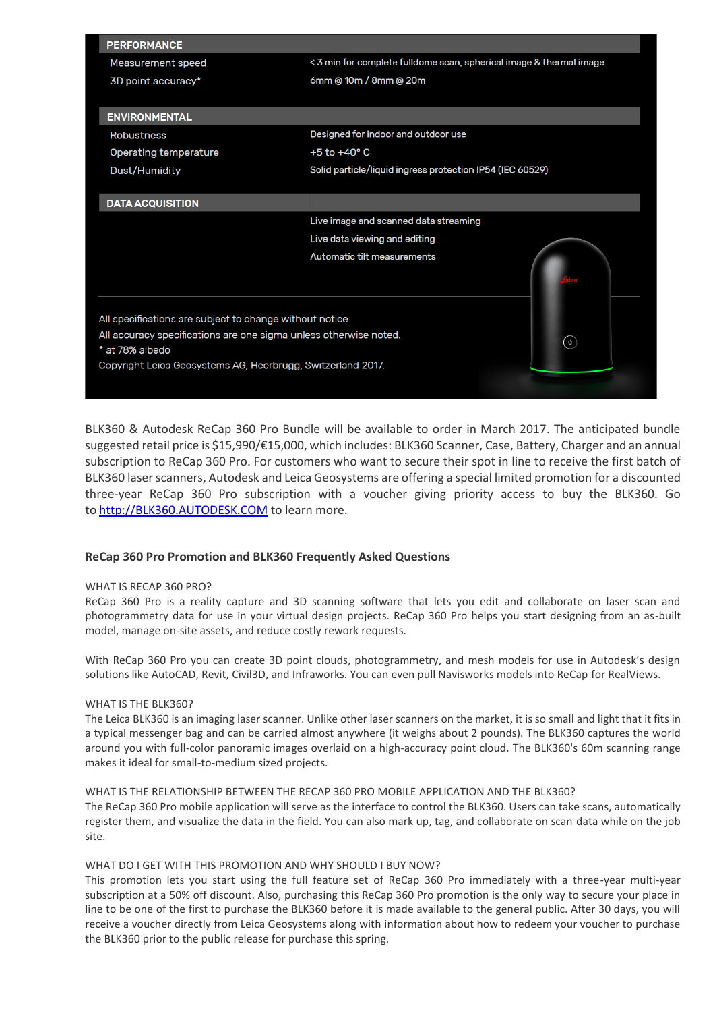| <b>PERFORMANCE</b>                                                |                                       |                                                                     |  |
|-------------------------------------------------------------------|---------------------------------------|---------------------------------------------------------------------|--|
| <b>Measurement speed</b>                                          |                                       | < 3 min for complete fulldome scan, spherical image & thermal image |  |
| 3D point accuracy*                                                | 6mm @ 10m / 8mm @ 20m                 |                                                                     |  |
|                                                                   |                                       |                                                                     |  |
| <b>ENVIRONMENTAL</b>                                              |                                       |                                                                     |  |
| <b>Robustness</b>                                                 | Designed for indoor and outdoor use   |                                                                     |  |
| <b>Operating temperature</b>                                      | $+5$ to $+40^{\circ}$ C               |                                                                     |  |
| Dust/Humidity                                                     |                                       | Solid particle/liquid ingress protection IP54 (IEC 60529)           |  |
|                                                                   |                                       |                                                                     |  |
| <b>DATA ACQUISITION</b>                                           |                                       |                                                                     |  |
|                                                                   | Live image and scanned data streaming |                                                                     |  |
|                                                                   | Live data viewing and editing         |                                                                     |  |
|                                                                   | Automatic tilt measurements           |                                                                     |  |
|                                                                   |                                       |                                                                     |  |
|                                                                   |                                       |                                                                     |  |
| All specifications are subject to change without notice.          |                                       |                                                                     |  |
| All accuracy specifications are one sigma unless otherwise noted. |                                       |                                                                     |  |
| * at 78% albedo                                                   |                                       | ( ပ )                                                               |  |
| Copyright Leica Geosystems AG, Heerbrugg, Switzerland 2017.       |                                       |                                                                     |  |
|                                                                   |                                       |                                                                     |  |
|                                                                   |                                       |                                                                     |  |

BLK360 & Autodesk ReCap 360 Pro Bundle will be available to order in March 2017. The anticipated bundle suggested retail price is \$15,990/€15,000, which includes: BLK360 Scanner, Case, Battery, Charger and an annual subscription to ReCap 360 Pro. For customers who want to secure their spot in line to receive the first batch of BLK360 laser scanners, Autodesk and Leica Geosystems are offering a special limited promotion for a discounted three-year ReCap 360 Pro subscription with a voucher giving priority access to buy the BLK360. Go to [http://BLK360.AUTODESK.COM](http://blk360.autodesk.com/) to learn more.

### **ReCap 360 Pro Promotion and BLK360 Frequently Asked Questions**

#### WHAT IS RECAP 360 PRO?

ReCap 360 Pro is a reality capture and 3D scanning software that lets you edit and collaborate on laser scan and photogrammetry data for use in your virtual design projects. ReCap 360 Pro helps you start designing from an as-built model, manage on-site assets, and reduce costly rework requests.

With ReCap 360 Pro you can create 3D point clouds, photogrammetry, and mesh models for use in Autodesk's design solutions like AutoCAD, Revit, Civil3D, and Infraworks. You can even pull Navisworks models into ReCap for RealViews.

#### WHAT IS THE BLK360?

The Leica BLK360 is an imaging laser scanner. Unlike other laser scanners on the market, it is so small and light that it fits in a typical messenger bag and can be carried almost anywhere (it weighs about 2 pounds). The BLK360 captures the world around you with full-color panoramic images overlaid on a high-accuracy point cloud. The BLK360's 60m scanning range makes it ideal for small-to-medium sized projects.

#### WHAT IS THE RELATIONSHIP BETWEEN THE RECAP 360 PRO MOBILE APPLICATION AND THE BLK360?

The ReCap 360 Pro mobile application will serve as the interface to control the BLK360. Users can take scans, automatically register them, and visualize the data in the field. You can also mark up, tag, and collaborate on scan data while on the job site.

#### WHAT DO I GET WITH THIS PROMOTION AND WHY SHOULD I BUY NOW?

This promotion lets you start using the full feature set of ReCap 360 Pro immediately with a three-year multi-year subscription at a 50% off discount. Also, purchasing this ReCap 360 Pro promotion is the only way to secure your place in line to be one of the first to purchase the BLK360 before it is made available to the general public. After 30 days, you will receive a voucher directly from Leica Geosystems along with information about how to redeem your voucher to purchase the BLK360 prior to the public release for purchase this spring.